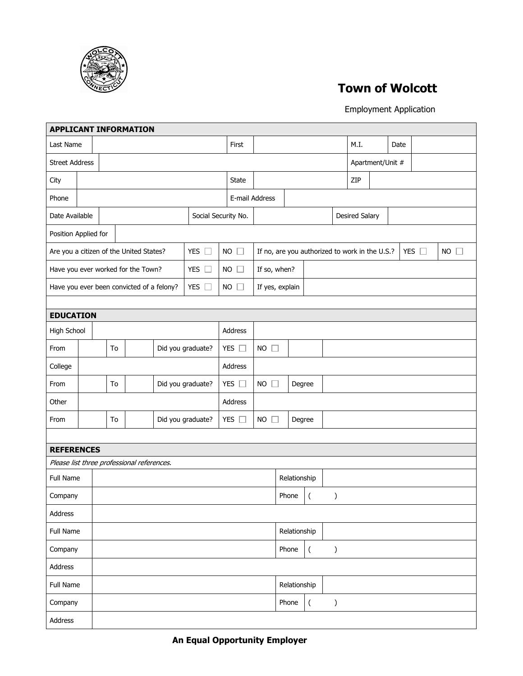

## **Town of Wolcott**

Employment Application

| <b>APPLICANT INFORMATION</b>                             |                                           |                                            |    |                                            |               |                          |              |                                                |                 |       |                  |               |                       |                  |               |             |  |
|----------------------------------------------------------|-------------------------------------------|--------------------------------------------|----|--------------------------------------------|---------------|--------------------------|--------------|------------------------------------------------|-----------------|-------|------------------|---------------|-----------------------|------------------|---------------|-------------|--|
| Last Name                                                |                                           |                                            |    |                                            |               |                          |              | First                                          |                 |       |                  | M.I.          |                       | Date             |               |             |  |
| <b>Street Address</b>                                    |                                           |                                            |    |                                            |               |                          |              |                                                |                 |       |                  |               |                       | Apartment/Unit # |               |             |  |
| City                                                     |                                           |                                            |    |                                            |               |                          |              | State                                          |                 |       |                  |               | ZIP                   |                  |               |             |  |
| Phone                                                    |                                           |                                            |    |                                            |               |                          |              | E-mail Address                                 |                 |       |                  |               |                       |                  |               |             |  |
| Date Available                                           |                                           |                                            |    |                                            |               | Social Security No.      |              |                                                |                 |       |                  |               | <b>Desired Salary</b> |                  |               |             |  |
| Position Applied for                                     |                                           |                                            |    |                                            |               |                          |              |                                                |                 |       |                  |               |                       |                  |               |             |  |
| YES $\square$<br>Are you a citizen of the United States? |                                           |                                            |    |                                            |               |                          | $NO$ $\Box$  | If no, are you authorized to work in the U.S.? |                 |       |                  |               |                       |                  | YES $\square$ | $NO$ $\Box$ |  |
| YES $\square$<br>Have you ever worked for the Town?      |                                           |                                            |    |                                            |               |                          | $NO$ $\Box$  | If so, when?                                   |                 |       |                  |               |                       |                  |               |             |  |
|                                                          | Have you ever been convicted of a felony? |                                            |    |                                            |               | YES $\square$            |              | $NO$ $\square$                                 | If yes, explain |       |                  |               |                       |                  |               |             |  |
|                                                          |                                           |                                            |    |                                            |               |                          |              |                                                |                 |       |                  |               |                       |                  |               |             |  |
| <b>EDUCATION</b>                                         |                                           |                                            |    |                                            |               |                          |              |                                                |                 |       |                  |               |                       |                  |               |             |  |
| High School                                              |                                           |                                            |    |                                            |               |                          |              | Address                                        |                 |       |                  |               |                       |                  |               |             |  |
| From                                                     |                                           |                                            | To |                                            |               | Did you graduate?        |              | YES $\square$                                  | $NO$ $\square$  |       |                  |               |                       |                  |               |             |  |
| College                                                  |                                           |                                            |    |                                            |               |                          |              | Address                                        |                 |       |                  |               |                       |                  |               |             |  |
| From                                                     |                                           | YES $\square$<br>Did you graduate?<br>To   |    |                                            | $NO$ $\Box$   | Degree                   |              |                                                |                 |       |                  |               |                       |                  |               |             |  |
| Other                                                    |                                           |                                            |    |                                            |               |                          |              | Address                                        |                 |       |                  |               |                       |                  |               |             |  |
| From                                                     |                                           | Did you graduate?<br>To                    |    |                                            | YES $\square$ | $NO$ $\square$<br>Degree |              |                                                |                 |       |                  |               |                       |                  |               |             |  |
|                                                          |                                           |                                            |    |                                            |               |                          |              |                                                |                 |       |                  |               |                       |                  |               |             |  |
| <b>REFERENCES</b>                                        |                                           |                                            |    |                                            |               |                          |              |                                                |                 |       |                  |               |                       |                  |               |             |  |
|                                                          |                                           |                                            |    | Please list three professional references. |               |                          |              |                                                |                 |       |                  |               |                       |                  |               |             |  |
| Full Name                                                |                                           |                                            |    |                                            |               |                          | Relationship |                                                |                 |       |                  |               |                       |                  |               |             |  |
| Company                                                  |                                           |                                            |    |                                            |               |                          |              |                                                |                 | Phone | $\overline{(\ }$ | $\mathcal{E}$ |                       |                  |               |             |  |
| Address                                                  |                                           |                                            |    |                                            |               |                          |              |                                                |                 |       |                  |               |                       |                  |               |             |  |
| Full Name                                                |                                           | Relationship                               |    |                                            |               |                          |              |                                                |                 |       |                  |               |                       |                  |               |             |  |
| Company                                                  |                                           | Phone<br>$\overline{(\ }$<br>$\mathcal{E}$ |    |                                            |               |                          |              |                                                |                 |       |                  |               |                       |                  |               |             |  |
| Address                                                  |                                           |                                            |    |                                            |               |                          |              |                                                |                 |       |                  |               |                       |                  |               |             |  |
| Full Name                                                |                                           | Relationship                               |    |                                            |               |                          |              |                                                |                 |       |                  |               |                       |                  |               |             |  |
| Company                                                  |                                           |                                            |    |                                            |               |                          |              |                                                |                 | Phone | $\overline{(\ }$ | $\mathcal{E}$ |                       |                  |               |             |  |
| Address                                                  |                                           |                                            |    |                                            |               |                          |              |                                                |                 |       |                  |               |                       |                  |               |             |  |